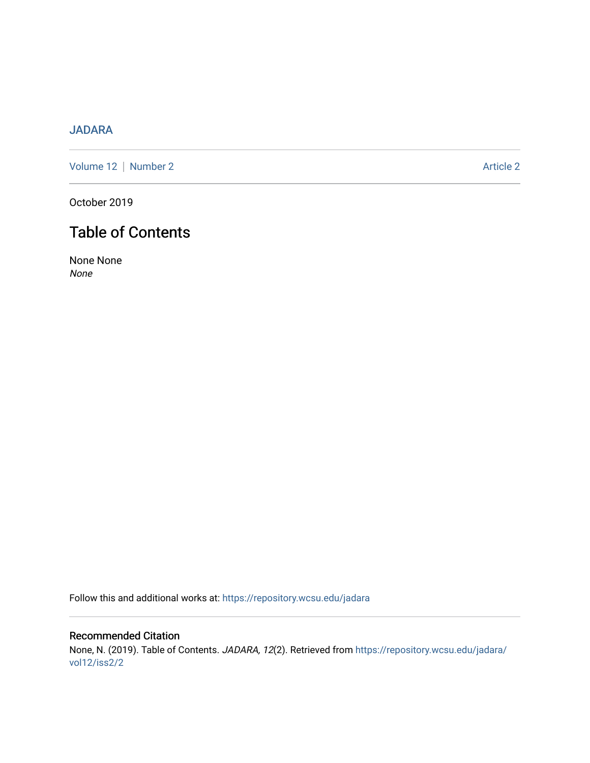## [JADARA](https://repository.wcsu.edu/jadara)

[Volume 12](https://repository.wcsu.edu/jadara/vol12) | [Number 2](https://repository.wcsu.edu/jadara/vol12/iss2) Article 2

October 2019

## Table of Contents

None None None

Follow this and additional works at: [https://repository.wcsu.edu/jadara](https://repository.wcsu.edu/jadara?utm_source=repository.wcsu.edu%2Fjadara%2Fvol12%2Fiss2%2F2&utm_medium=PDF&utm_campaign=PDFCoverPages)

Recommended Citation None, N. (2019). Table of Contents. JADARA, 12(2). Retrieved from [https://repository.wcsu.edu/jadara/](https://repository.wcsu.edu/jadara/vol12/iss2/2?utm_source=repository.wcsu.edu%2Fjadara%2Fvol12%2Fiss2%2F2&utm_medium=PDF&utm_campaign=PDFCoverPages) [vol12/iss2/2](https://repository.wcsu.edu/jadara/vol12/iss2/2?utm_source=repository.wcsu.edu%2Fjadara%2Fvol12%2Fiss2%2F2&utm_medium=PDF&utm_campaign=PDFCoverPages)